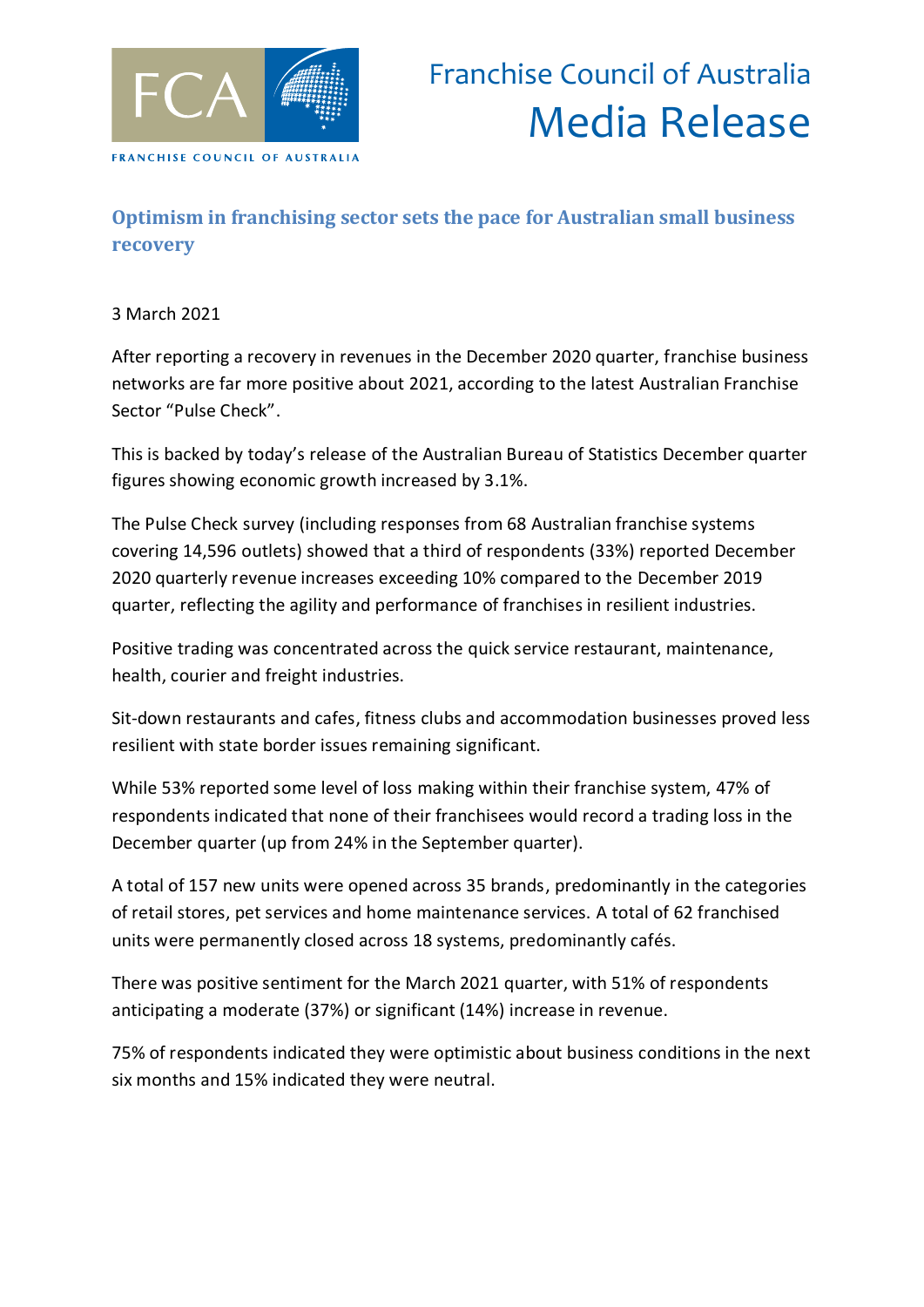

## **Optimism in franchising sector sets the pace for Australian small business recovery**

## 3 March 2021

After reporting a recovery in revenues in the December 2020 quarter, franchise business networks are far more positive about 2021, according to the latest Australian Franchise Sector "Pulse Check".

This is backed by today's release of the Australian Bureau of Statistics December quarter figures showing economic growth increased by 3.1%.

The Pulse Check survey (including responses from 68 Australian franchise systems covering 14,596 outlets) showed that a third of respondents (33%) reported December 2020 quarterly revenue increases exceeding 10% compared to the December 2019 quarter, reflecting the agility and performance of franchises in resilient industries.

Positive trading was concentrated across the quick service restaurant, maintenance, health, courier and freight industries.

Sit-down restaurants and cafes, fitness clubs and accommodation businesses proved less resilient with state border issues remaining significant.

While 53% reported some level of loss making within their franchise system, 47% of respondents indicated that none of their franchisees would record a trading loss in the December quarter (up from 24% in the September quarter).

A total of 157 new units were opened across 35 brands, predominantly in the categories of retail stores, pet services and home maintenance services. A total of 62 franchised units were permanently closed across 18 systems, predominantly cafés.

There was positive sentiment for the March 2021 quarter, with 51% of respondents anticipating a moderate (37%) or significant (14%) increase in revenue.

75% of respondents indicated they were optimistic about business conditions in the next six months and 15% indicated they were neutral.